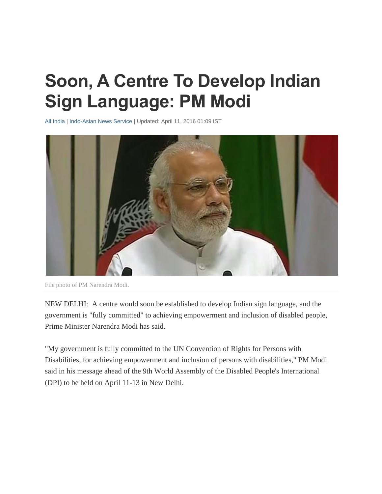## **Soon, A Centre To Develop Indian Sign Language: PM Modi**

[All India](http://www.ndtv.com/india) | [Indo-Asian News Service](http://www.ndtv.com/topic/indo-asian-news-service) | Updated: April 11, 2016 01:09 IST



File photo of PM Narendra Modi.

NEW DELHI: A centre would soon be established to develop Indian sign language, and the government is "fully committed" to achieving empowerment and inclusion of disabled people, Prime Minister Narendra Modi has said.

"My government is fully committed to the UN Convention of Rights for Persons with Disabilities, for achieving empowerment and inclusion of persons with disabilities," PM Modi said in his message ahead of the 9th World Assembly of the Disabled People's International (DPI) to be held on April 11-13 in New Delhi.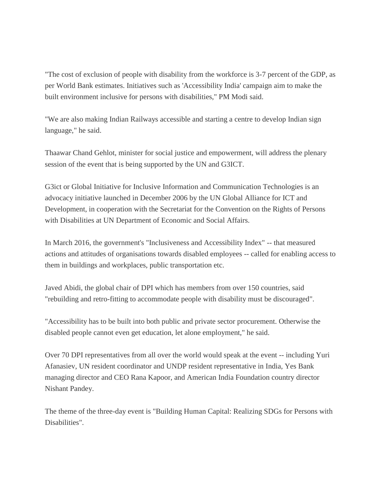"The cost of exclusion of people with disability from the workforce is 3-7 percent of the GDP, as per World Bank estimates. Initiatives such as 'Accessibility India' campaign aim to make the built environment inclusive for persons with disabilities," PM Modi said.

"We are also making Indian Railways accessible and starting a centre to develop Indian sign language," he said.

Thaawar Chand Gehlot, minister for social justice and empowerment, will address the plenary session of the event that is being supported by the UN and G3ICT.

G3ict or Global Initiative for Inclusive Information and Communication Technologies is an advocacy initiative launched in December 2006 by the UN Global Alliance for ICT and Development, in cooperation with the Secretariat for the Convention on the Rights of Persons with Disabilities at UN Department of Economic and Social Affairs.

In March 2016, the government's "Inclusiveness and Accessibility Index" -- that measured actions and attitudes of organisations towards disabled employees -- called for enabling access to them in buildings and workplaces, public transportation etc.

Javed Abidi, the global chair of DPI which has members from over 150 countries, said "rebuilding and retro-fitting to accommodate people with disability must be discouraged".

"Accessibility has to be built into both public and private sector procurement. Otherwise the disabled people cannot even get education, let alone employment," he said.

Over 70 DPI representatives from all over the world would speak at the event -- including Yuri Afanasiev, UN resident coordinator and UNDP resident representative in India, Yes Bank managing director and CEO Rana Kapoor, and American India Foundation country director Nishant Pandey.

The theme of the three-day event is "Building Human Capital: Realizing SDGs for Persons with Disabilities".